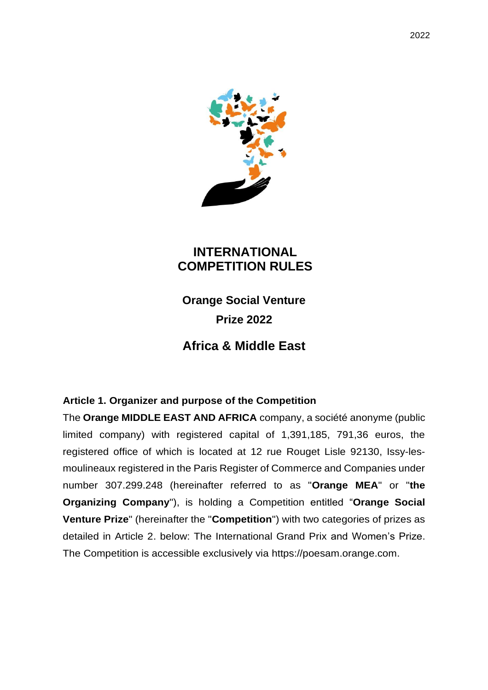

# **INTERNATIONAL COMPETITION RULES**

**Orange Social Venture Prize 2022**

# **Africa & Middle East**

# **Article 1. Organizer and purpose of the Competition**

The **Orange MIDDLE EAST AND AFRICA** company, a société anonyme (public limited company) with registered capital of 1,391,185, 791,36 euros, the registered office of which is located at 12 rue Rouget Lisle 92130, Issy-lesmoulineaux registered in the Paris Register of Commerce and Companies under number 307.299.248 (hereinafter referred to as "**Orange MEA**" or "**the Organizing Company**"), is holding a Competition entitled "**Orange Social Venture Prize**" (hereinafter the "**Competition**") with two categories of prizes as detailed in Article 2. below: The International Grand Prix and Women's Prize. The Competition is accessible exclusively via https://poesam.orange.com.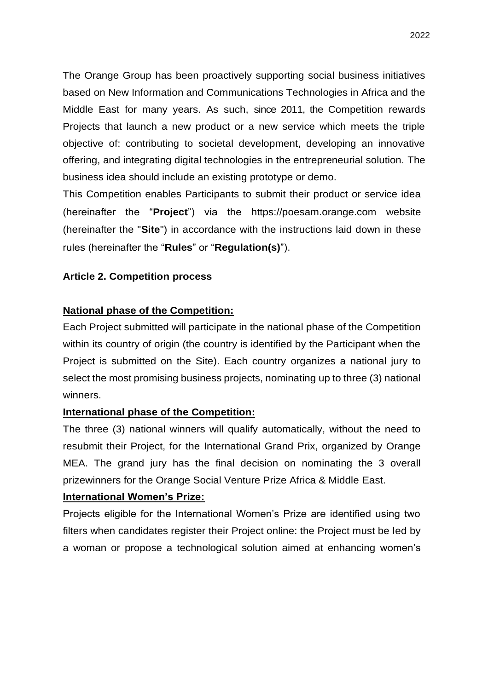The Orange Group has been proactively supporting social business initiatives based on New Information and Communications Technologies in Africa and the Middle East for many years. As such, since 2011, the Competition rewards Projects that launch a new product or a new service which meets the triple objective of: contributing to societal development, developing an innovative offering, and integrating digital technologies in the entrepreneurial solution. The business idea should include an existing prototype or demo.

This Competition enables Participants to submit their product or service idea (hereinafter the "**Project**") via the https://poesam.orange.com website (hereinafter the "**Site**") in accordance with the instructions laid down in these rules (hereinafter the "**Rules**" or "**Regulation(s)**").

### **Article 2. Competition process**

### **National phase of the Competition:**

Each Project submitted will participate in the national phase of the Competition within its country of origin (the country is identified by the Participant when the Project is submitted on the Site). Each country organizes a national jury to select the most promising business projects, nominating up to three (3) national winners.

### **International phase of the Competition:**

The three (3) national winners will qualify automatically, without the need to resubmit their Project, for the International Grand Prix, organized by Orange MEA. The grand jury has the final decision on nominating the 3 overall prizewinners for the Orange Social Venture Prize Africa & Middle East.

#### **International Women's Prize:**

Projects eligible for the International Women's Prize are identified using two filters when candidates register their Project online: the Project must be led by a woman or propose a technological solution aimed at enhancing women's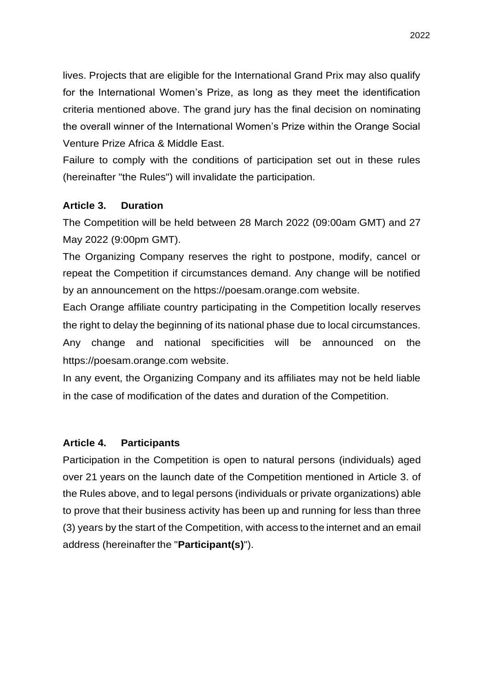lives. Projects that are eligible for the International Grand Prix may also qualify for the International Women's Prize, as long as they meet the identification criteria mentioned above. The grand jury has the final decision on nominating the overall winner of the International Women's Prize within the Orange Social Venture Prize Africa & Middle East.

Failure to comply with the conditions of participation set out in these rules (hereinafter "the Rules") will invalidate the participation.

#### **Article 3. Duration**

The Competition will be held between 28 March 2022 (09:00am GMT) and 27 May 2022 (9:00pm GMT).

The Organizing Company reserves the right to postpone, modify, cancel or repeat the Competition if circumstances demand. Any change will be notified by an announcement on the https://poesam.orange.com website.

Each Orange affiliate country participating in the Competition locally reserves the right to delay the beginning of its national phase due to local circumstances.

Any change and national specificities will be announced on the https://poesam.orange.com website.

In any event, the Organizing Company and its affiliates may not be held liable in the case of modification of the dates and duration of the Competition.

#### **Article 4. Participants**

Participation in the Competition is open to natural persons (individuals) aged over 21 years on the launch date of the Competition mentioned in Article 3. of the Rules above, and to legal persons (individuals or private organizations) able to prove that their business activity has been up and running for less than three (3) years by the start of the Competition, with access to the internet and an email address (hereinafter the "**Participant(s)**").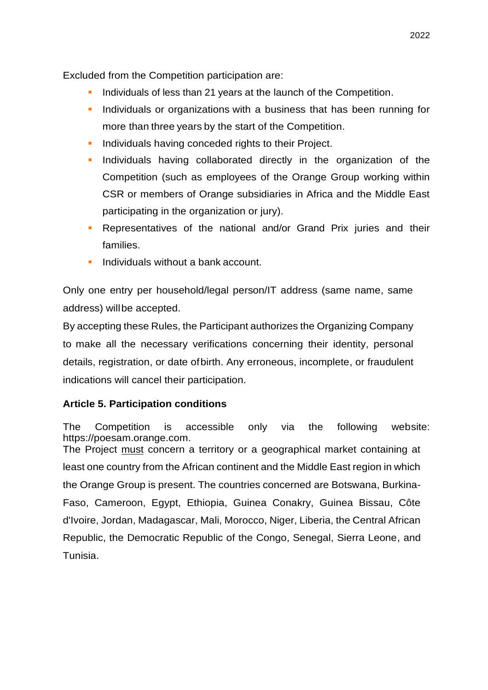Excluded from the Competition participation are:

- Individuals of less than 21 years at the launch of the Competition.
- **•** Individuals or organizations with a business that has been running for more than three years by the start of the Competition.
- **Individuals having conceded rights to their Project.**
- **.** Individuals having collaborated directly in the organization of the Competition (such as employees of the Orange Group working within CSR or members of Orange subsidiaries in Africa and the Middle East participating in the organization or jury).
- **EXECTE:** Representatives of the national and/or Grand Prix juries and their families.
- **·** Individuals without a bank account.

Only one entry per household/legal person/IT address (same name, same address) willbe accepted.

By accepting these Rules, the Participant authorizes the Organizing Company to make all the necessary verifications concerning their identity, personal details, registration, or date ofbirth. Any erroneous, incomplete, or fraudulent indications will cancel their participation.

# **Article 5. Participation conditions**

The Competition is accessible only via the following website: https://poesam.orange.com.

The Project must concern a territory or a geographical market containing at least one country from the African continent and the Middle East region in which the Orange Group is present. The countries concerned are Botswana, Burkina-Faso, Cameroon, Egypt, Ethiopia, Guinea Conakry, Guinea Bissau, Côte d'Ivoire, Jordan, Madagascar, Mali, Morocco, Niger, Liberia, the Central African Republic, the Democratic Republic of the Congo, Senegal, Sierra Leone, and Tunisia.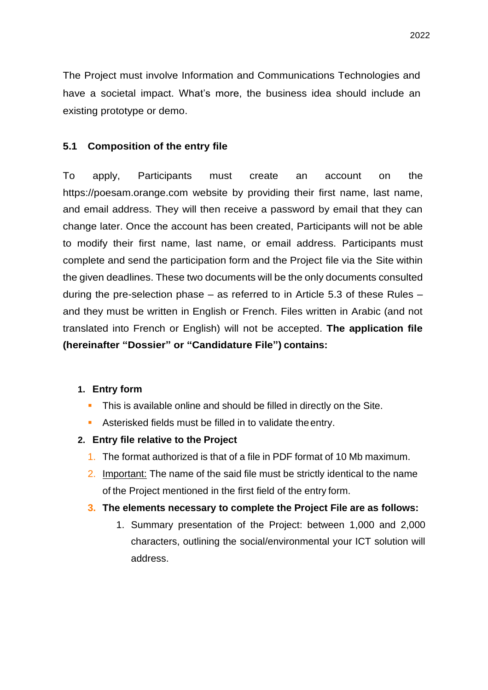The Project must involve Information and Communications Technologies and have a societal impact. What's more, the business idea should include an existing prototype or demo.

### **5.1 Composition of the entry file**

To apply, Participants must create an account on the https://poesam.orange.com website by providing their first name, last name, and email address. They will then receive a password by email that they can change later. Once the account has been created, Participants will not be able to modify their first name, last name, or email address. Participants must complete and send the participation form and the Project file via the Site within the given deadlines. These two documents will be the only documents consulted during the pre-selection phase – as referred to in Article 5.3 of these Rules – and they must be written in English or French. Files written in Arabic (and not translated into French or English) will not be accepted. **The application file (hereinafter "Dossier" or "Candidature File") contains:**

#### **1. Entry form**

- **•** This is available online and should be filled in directly on the Site.
- **EXECT** Asterisked fields must be filled in to validate the entry.

#### **2. Entry file relative to the Project**

- 1. The format authorized is that of a file in PDF format of 10 Mb maximum.
- 2. Important: The name of the said file must be strictly identical to the name of the Project mentioned in the first field of the entry form.
- **3. The elements necessary to complete the Project File are as follows:**
	- 1. Summary presentation of the Project: between 1,000 and 2,000 characters, outlining the social/environmental your ICT solution will address.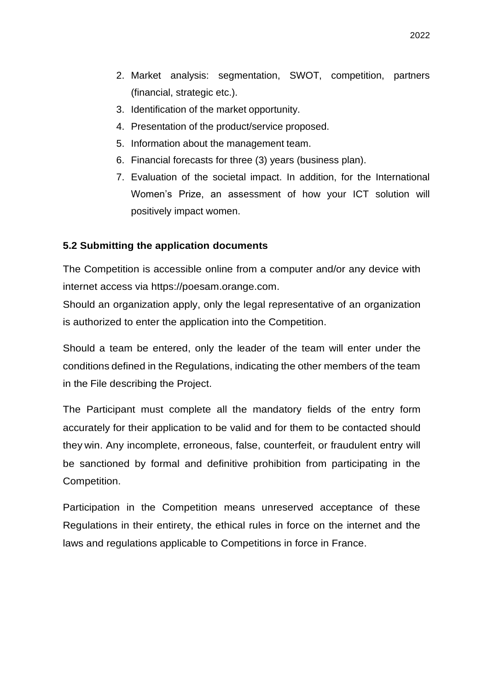- 2. Market analysis: segmentation, SWOT, competition, partners (financial, strategic etc.).
- 3. Identification of the market opportunity.
- 4. Presentation of the product/service proposed.
- 5. Information about the management team.
- 6. Financial forecasts for three (3) years (business plan).
- 7. Evaluation of the societal impact. In addition, for the International Women's Prize, an assessment of how your ICT solution will positively impact women.

### **5.2 Submitting the application documents**

The Competition is accessible online from a computer and/or any device with internet access via https://poesam.orange.com.

Should an organization apply, only the legal representative of an organization is authorized to enter the application into the Competition.

Should a team be entered, only the leader of the team will enter under the conditions defined in the Regulations, indicating the other members of the team in the File describing the Project.

The Participant must complete all the mandatory fields of the entry form accurately for their application to be valid and for them to be contacted should they win. Any incomplete, erroneous, false, counterfeit, or fraudulent entry will be sanctioned by formal and definitive prohibition from participating in the Competition.

Participation in the Competition means unreserved acceptance of these Regulations in their entirety, the ethical rules in force on the internet and the laws and regulations applicable to Competitions in force in France.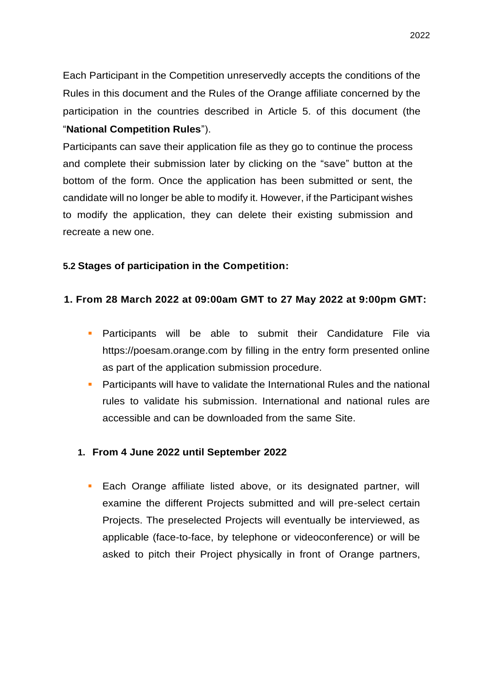Each Participant in the Competition unreservedly accepts the conditions of the Rules in this document and the Rules of the Orange affiliate concerned by the participation in the countries described in Article 5. of this document (the "**National Competition Rules**").

Participants can save their application file as they go to continue the process and complete their submission later by clicking on the "save" button at the bottom of the form. Once the application has been submitted or sent, the candidate will no longer be able to modify it. However, if the Participant wishes to modify the application, they can delete their existing submission and recreate a new one.

### **5.2 Stages of participation in the Competition:**

### **1. From 28 March 2022 at 09:00am GMT to 27 May 2022 at 9:00pm GMT:**

- **·** Participants will be able to submit their Candidature File via https://poesam.orange.com by filling in the entry form presented online as part of the application submission procedure.
- Participants will have to validate the International Rules and the national rules to validate his submission. International and national rules are accessible and can be downloaded from the same Site.

#### **1. From 4 June 2022 until September 2022**

**Each Orange affiliate listed above, or its designated partner, will** examine the different Projects submitted and will pre-select certain Projects. The preselected Projects will eventually be interviewed, as applicable (face-to-face, by telephone or videoconference) or will be asked to pitch their Project physically in front of Orange partners,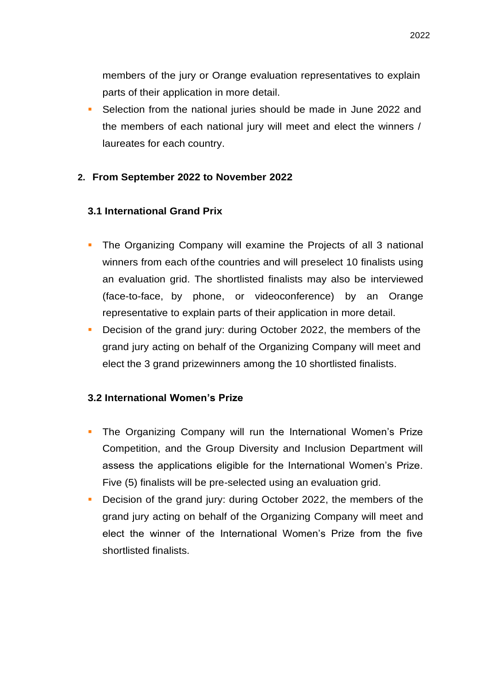members of the jury or Orange evaluation representatives to explain parts of their application in more detail.

**•** Selection from the national juries should be made in June 2022 and the members of each national jury will meet and elect the winners / laureates for each country.

### **2. From September 2022 to November 2022**

### **3.1 International Grand Prix**

- **The Organizing Company will examine the Projects of all 3 national** winners from each of the countries and will preselect 10 finalists using an evaluation grid. The shortlisted finalists may also be interviewed (face-to-face, by phone, or videoconference) by an Orange representative to explain parts of their application in more detail.
- Decision of the grand jury: during October 2022, the members of the grand jury acting on behalf of the Organizing Company will meet and elect the 3 grand prizewinners among the 10 shortlisted finalists.

#### **3.2 International Women's Prize**

- **The Organizing Company will run the International Women's Prize** Competition, and the Group Diversity and Inclusion Department will assess the applications eligible for the International Women's Prize. Five (5) finalists will be pre-selected using an evaluation grid.
- **•** Decision of the grand jury: during October 2022, the members of the grand jury acting on behalf of the Organizing Company will meet and elect the winner of the International Women's Prize from the five shortlisted finalists.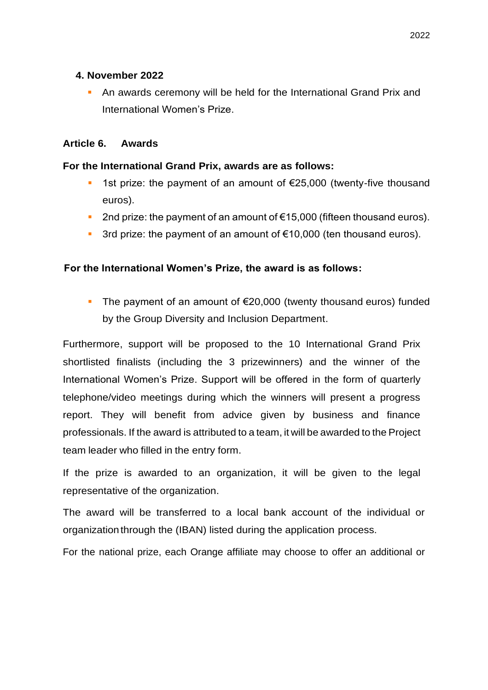### **4. November 2022**

**• An awards ceremony will be held for the International Grand Prix and** International Women's Prize.

### **Article 6. Awards**

### **For the International Grand Prix, awards are as follows:**

- 1st prize: the payment of an amount of €25,000 (twenty-five thousand euros).
- 2nd prize: the payment of an amount of €15,000 (fifteen thousand euros).
- 3rd prize: the payment of an amount of  $€10,000$  (ten thousand euros).

## **For the International Women's Prize, the award is as follows:**

■ The payment of an amount of  $€20,000$  (twenty thousand euros) funded by the Group Diversity and Inclusion Department.

Furthermore, support will be proposed to the 10 International Grand Prix shortlisted finalists (including the 3 prizewinners) and the winner of the International Women's Prize. Support will be offered in the form of quarterly telephone/video meetings during which the winners will present a progress report. They will benefit from advice given by business and finance professionals. If the award is attributed to a team, it will be awarded to the Project team leader who filled in the entry form.

If the prize is awarded to an organization, it will be given to the legal representative of the organization.

The award will be transferred to a local bank account of the individual or organization through the (IBAN) listed during the application process.

For the national prize, each Orange affiliate may choose to offer an additional or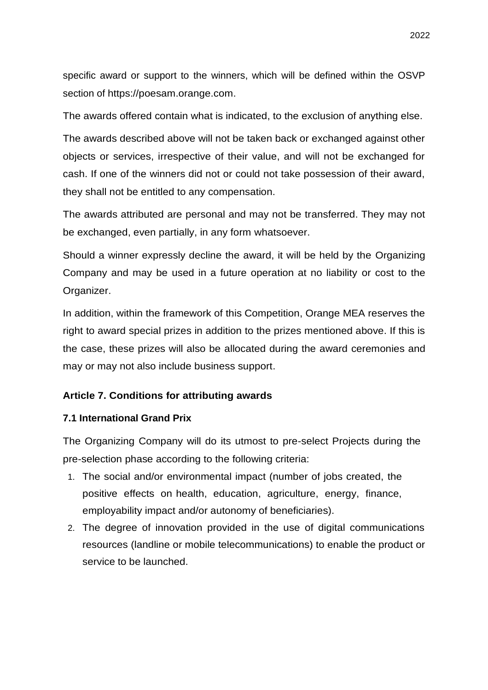specific award or support to the winners, which will be defined within the OSVP section of https://poesam.orange.com.

The awards offered contain what is indicated, to the exclusion of anything else.

The awards described above will not be taken back or exchanged against other objects or services, irrespective of their value, and will not be exchanged for cash. If one of the winners did not or could not take possession of their award, they shall not be entitled to any compensation.

The awards attributed are personal and may not be transferred. They may not be exchanged, even partially, in any form whatsoever.

Should a winner expressly decline the award, it will be held by the Organizing Company and may be used in a future operation at no liability or cost to the Organizer.

In addition, within the framework of this Competition, Orange MEA reserves the right to award special prizes in addition to the prizes mentioned above. If this is the case, these prizes will also be allocated during the award ceremonies and may or may not also include business support.

### **Article 7. Conditions for attributing awards**

### **7.1 International Grand Prix**

The Organizing Company will do its utmost to pre-select Projects during the pre-selection phase according to the following criteria:

- 1. The social and/or environmental impact (number of jobs created, the positive effects on health, education, agriculture, energy, finance, employability impact and/or autonomy of beneficiaries).
- 2. The degree of innovation provided in the use of digital communications resources (landline or mobile telecommunications) to enable the product or service to be launched.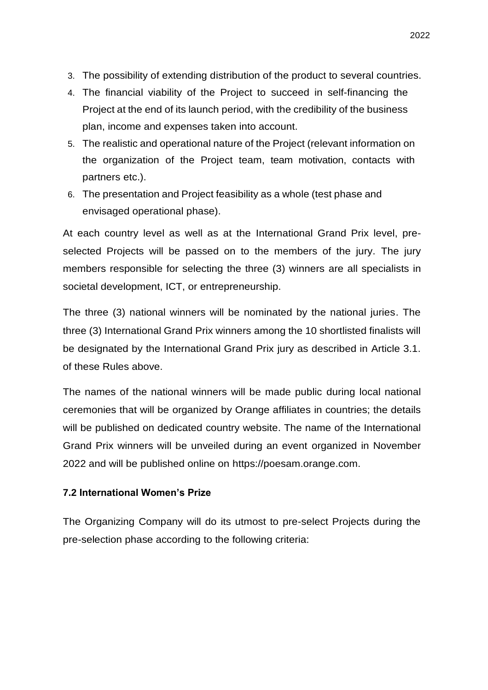- 3. The possibility of extending distribution of the product to several countries.
- 4. The financial viability of the Project to succeed in self-financing the Project at the end of its launch period, with the credibility of the business plan, income and expenses taken into account.
- 5. The realistic and operational nature of the Project (relevant information on the organization of the Project team, team motivation, contacts with partners etc.).
- 6. The presentation and Project feasibility as a whole (test phase and envisaged operational phase).

At each country level as well as at the International Grand Prix level, preselected Projects will be passed on to the members of the jury. The jury members responsible for selecting the three (3) winners are all specialists in societal development, ICT, or entrepreneurship.

The three (3) national winners will be nominated by the national juries. The three (3) International Grand Prix winners among the 10 shortlisted finalists will be designated by the International Grand Prix jury as described in Article 3.1. of these Rules above.

The names of the national winners will be made public during local national ceremonies that will be organized by Orange affiliates in countries; the details will be published on dedicated country website. The name of the International Grand Prix winners will be unveiled during an event organized in November 2022 and will be published online on https://poesam.orange.com.

### **7.2 International Women's Prize**

The Organizing Company will do its utmost to pre-select Projects during the pre-selection phase according to the following criteria: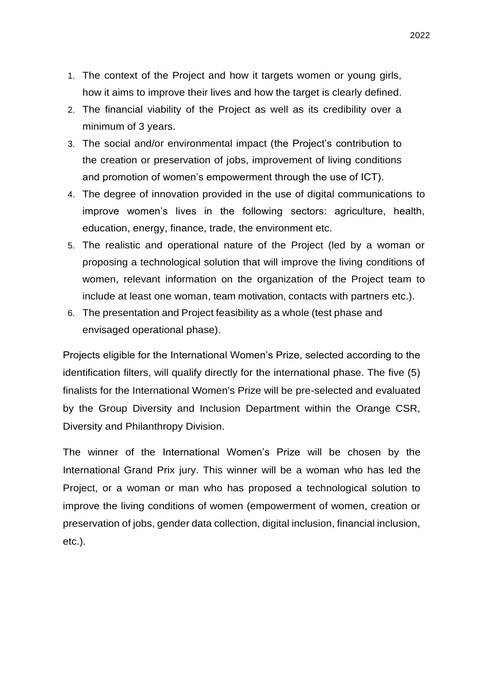- 1. The context of the Project and how it targets women or young girls, how it aims to improve their lives and how the target is clearly defined.
- 2. The financial viability of the Project as well as its credibility over a minimum of 3 years.
- 3. The social and/or environmental impact (the Project's contribution to the creation or preservation of jobs, improvement of living conditions and promotion of women's empowerment through the use of ICT).
- 4. The degree of innovation provided in the use of digital communications to improve women's lives in the following sectors: agriculture, health, education, energy, finance, trade, the environment etc.
- 5. The realistic and operational nature of the Project (led by a woman or proposing a technological solution that will improve the living conditions of women, relevant information on the organization of the Project team to include at least one woman, team motivation, contacts with partners etc.).
- 6. The presentation and Project feasibility as a whole (test phase and envisaged operational phase).

Projects eligible for the International Women's Prize, selected according to the identification filters, will qualify directly for the international phase. The five (5) finalists for the International Women's Prize will be pre-selected and evaluated by the Group Diversity and Inclusion Department within the Orange CSR, Diversity and Philanthropy Division.

The winner of the International Women's Prize will be chosen by the International Grand Prix jury. This winner will be a woman who has led the Project, or a woman or man who has proposed a technological solution to improve the living conditions of women (empowerment of women, creation or preservation of jobs, gender data collection, digital inclusion, financial inclusion, etc.).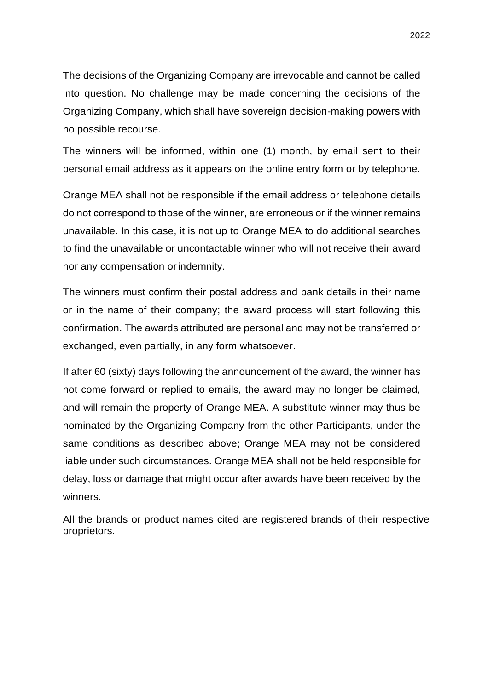The decisions of the Organizing Company are irrevocable and cannot be called into question. No challenge may be made concerning the decisions of the Organizing Company, which shall have sovereign decision-making powers with no possible recourse.

The winners will be informed, within one (1) month, by email sent to their personal email address as it appears on the online entry form or by telephone.

Orange MEA shall not be responsible if the email address or telephone details do not correspond to those of the winner, are erroneous or if the winner remains unavailable. In this case, it is not up to Orange MEA to do additional searches to find the unavailable or uncontactable winner who will not receive their award nor any compensation orindemnity.

The winners must confirm their postal address and bank details in their name or in the name of their company; the award process will start following this confirmation. The awards attributed are personal and may not be transferred or exchanged, even partially, in any form whatsoever.

If after 60 (sixty) days following the announcement of the award, the winner has not come forward or replied to emails, the award may no longer be claimed, and will remain the property of Orange MEA. A substitute winner may thus be nominated by the Organizing Company from the other Participants, under the same conditions as described above; Orange MEA may not be considered liable under such circumstances. Orange MEA shall not be held responsible for delay, loss or damage that might occur after awards have been received by the winners.

All the brands or product names cited are registered brands of their respective proprietors.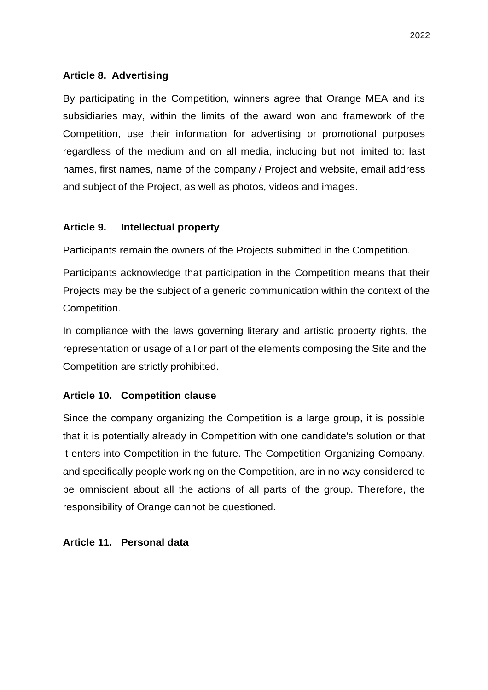#### **Article 8. Advertising**

By participating in the Competition, winners agree that Orange MEA and its subsidiaries may, within the limits of the award won and framework of the Competition, use their information for advertising or promotional purposes regardless of the medium and on all media, including but not limited to: last names, first names, name of the company / Project and website, email address and subject of the Project, as well as photos, videos and images.

#### **Article 9. Intellectual property**

Participants remain the owners of the Projects submitted in the Competition.

Participants acknowledge that participation in the Competition means that their Projects may be the subject of a generic communication within the context of the Competition.

In compliance with the laws governing literary and artistic property rights, the representation or usage of all or part of the elements composing the Site and the Competition are strictly prohibited.

#### **Article 10. Competition clause**

Since the company organizing the Competition is a large group, it is possible that it is potentially already in Competition with one candidate's solution or that it enters into Competition in the future. The Competition Organizing Company, and specifically people working on the Competition, are in no way considered to be omniscient about all the actions of all parts of the group. Therefore, the responsibility of Orange cannot be questioned.

#### **Article 11. Personal data**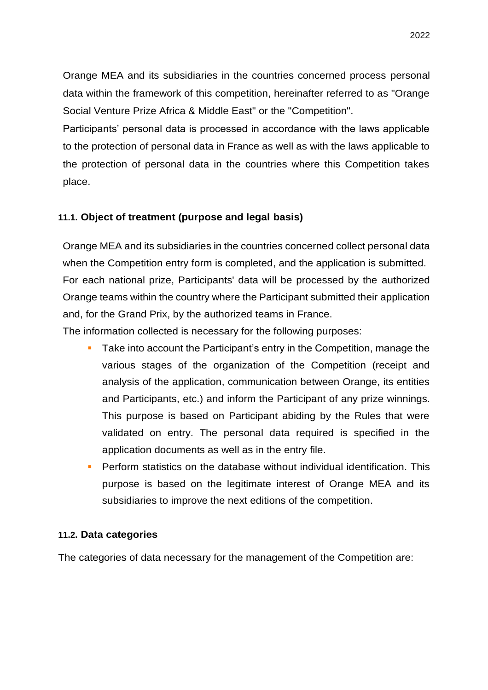Orange MEA and its subsidiaries in the countries concerned process personal data within the framework of this competition, hereinafter referred to as "Orange Social Venture Prize Africa & Middle East" or the "Competition".

Participants' personal data is processed in accordance with the laws applicable to the protection of personal data in France as well as with the laws applicable to the protection of personal data in the countries where this Competition takes place.

## **11.1. Object of treatment (purpose and legal basis)**

Orange MEA and its subsidiaries in the countries concerned collect personal data when the Competition entry form is completed, and the application is submitted. For each national prize, Participants' data will be processed by the authorized Orange teams within the country where the Participant submitted their application and, for the Grand Prix, by the authorized teams in France.

The information collected is necessary for the following purposes:

- Take into account the Participant's entry in the Competition, manage the various stages of the organization of the Competition (receipt and analysis of the application, communication between Orange, its entities and Participants, etc.) and inform the Participant of any prize winnings. This purpose is based on Participant abiding by the Rules that were validated on entry. The personal data required is specified in the application documents as well as in the entry file.
- **•** Perform statistics on the database without individual identification. This purpose is based on the legitimate interest of Orange MEA and its subsidiaries to improve the next editions of the competition.

### **11.2. Data categories**

The categories of data necessary for the management of the Competition are: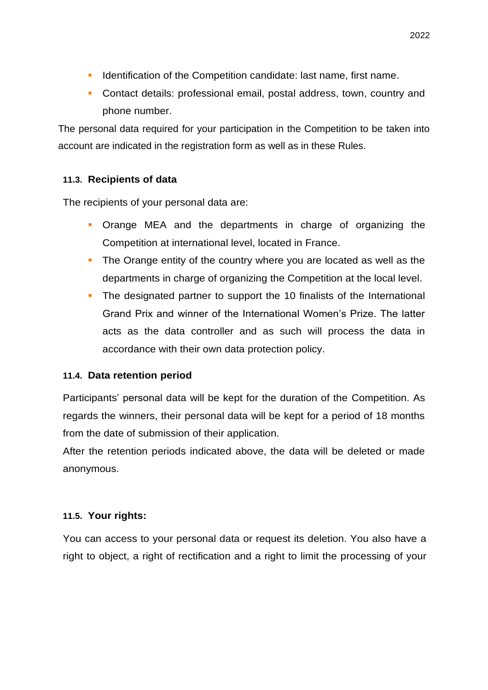- Identification of the Competition candidate: last name, first name.
- Contact details: professional email, postal address, town, country and phone number.

The personal data required for your participation in the Competition to be taken into account are indicated in the registration form as well as in these Rules.

## **11.3. Recipients of data**

The recipients of your personal data are:

- Orange MEA and the departments in charge of organizing the Competition at international level, located in France.
- **•** The Orange entity of the country where you are located as well as the departments in charge of organizing the Competition at the local level.
- **•** The designated partner to support the 10 finalists of the International Grand Prix and winner of the International Women's Prize. The latter acts as the data controller and as such will process the data in accordance with their own data protection policy.

### **11.4. Data retention period**

Participants' personal data will be kept for the duration of the Competition. As regards the winners, their personal data will be kept for a period of 18 months from the date of submission of their application.

After the retention periods indicated above, the data will be deleted or made anonymous.

### **11.5. Your rights:**

You can access to your personal data or request its deletion. You also have a right to object, a right of rectification and a right to limit the processing of your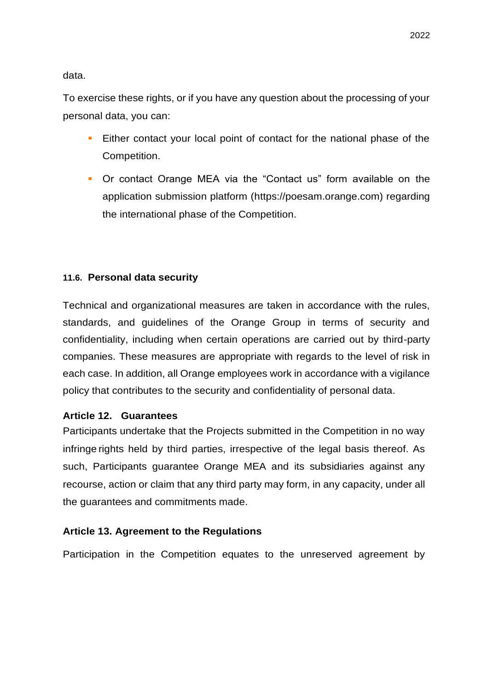data.

To exercise these rights, or if you have any question about the processing of your personal data, you can:

- **Either contact your local point of contact for the national phase of the** Competition.
- Or contact Orange MEA via the "Contact us" form available on the application submission platform (https://poesam.orange.com) regarding the international phase of the Competition.

#### **11.6. Personal data security**

Technical and organizational measures are taken in accordance with the rules, standards, and guidelines of the Orange Group in terms of security and confidentiality, including when certain operations are carried out by third-party companies. These measures are appropriate with regards to the level of risk in each case. In addition, all Orange employees work in accordance with a vigilance policy that contributes to the security and confidentiality of personal data.

#### **Article 12. Guarantees**

Participants undertake that the Projects submitted in the Competition in no way infringe rights held by third parties, irrespective of the legal basis thereof. As such, Participants guarantee Orange MEA and its subsidiaries against any recourse, action or claim that any third party may form, in any capacity, under all the guarantees and commitments made.

#### **Article 13. Agreement to the Regulations**

Participation in the Competition equates to the unreserved agreement by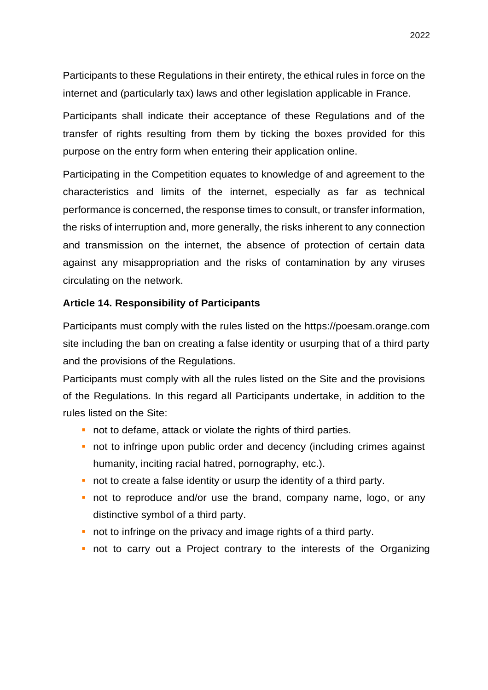Participants to these Regulations in their entirety, the ethical rules in force on the internet and (particularly tax) laws and other legislation applicable in France.

Participants shall indicate their acceptance of these Regulations and of the transfer of rights resulting from them by ticking the boxes provided for this purpose on the entry form when entering their application online.

Participating in the Competition equates to knowledge of and agreement to the characteristics and limits of the internet, especially as far as technical performance is concerned, the response times to consult, or transfer information, the risks of interruption and, more generally, the risks inherent to any connection and transmission on the internet, the absence of protection of certain data against any misappropriation and the risks of contamination by any viruses circulating on the network.

#### **Article 14. Responsibility of Participants**

Participants must comply with the rules listed on the https://poesam.orange.com site including the ban on creating a false identity or usurping that of a third party and the provisions of the Regulations.

Participants must comply with all the rules listed on the Site and the provisions of the Regulations. In this regard all Participants undertake, in addition to the rules listed on the Site:

- not to defame, attack or violate the rights of third parties.
- not to infringe upon public order and decency (including crimes against humanity, inciting racial hatred, pornography, etc.).
- not to create a false identity or usurp the identity of a third party.
- **•** not to reproduce and/or use the brand, company name, logo, or any distinctive symbol of a third party.
- not to infringe on the privacy and image rights of a third party.
- **•** not to carry out a Project contrary to the interests of the Organizing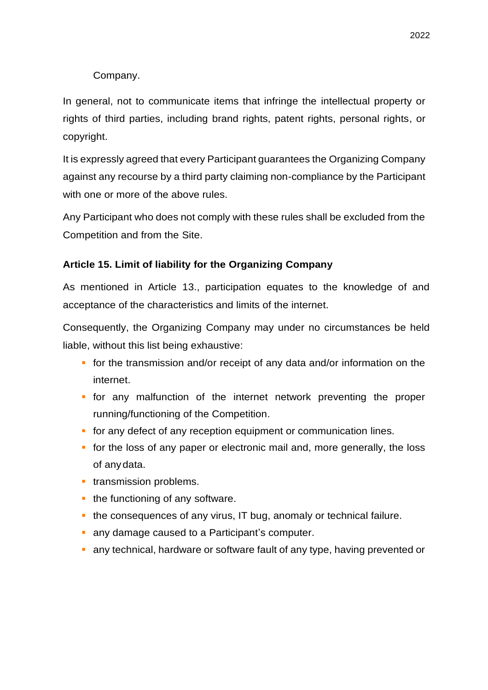## Company.

In general, not to communicate items that infringe the intellectual property or rights of third parties, including brand rights, patent rights, personal rights, or copyright.

It is expressly agreed that every Participant guarantees the Organizing Company against any recourse by a third party claiming non-compliance by the Participant with one or more of the above rules.

Any Participant who does not comply with these rules shall be excluded from the Competition and from the Site.

### **Article 15. Limit of liability for the Organizing Company**

As mentioned in Article 13., participation equates to the knowledge of and acceptance of the characteristics and limits of the internet.

Consequently, the Organizing Company may under no circumstances be held liable, without this list being exhaustive:

- **•** for the transmission and/or receipt of any data and/or information on the internet.
- **•** for any malfunction of the internet network preventing the proper running/functioning of the Competition.
- for any defect of any reception equipment or communication lines.
- for the loss of any paper or electronic mail and, more generally, the loss of anydata.
- **·** transmission problems.
- the functioning of any software.
- the consequences of any virus, IT bug, anomaly or technical failure.
- **a** any damage caused to a Participant's computer.
- **E** any technical, hardware or software fault of any type, having prevented or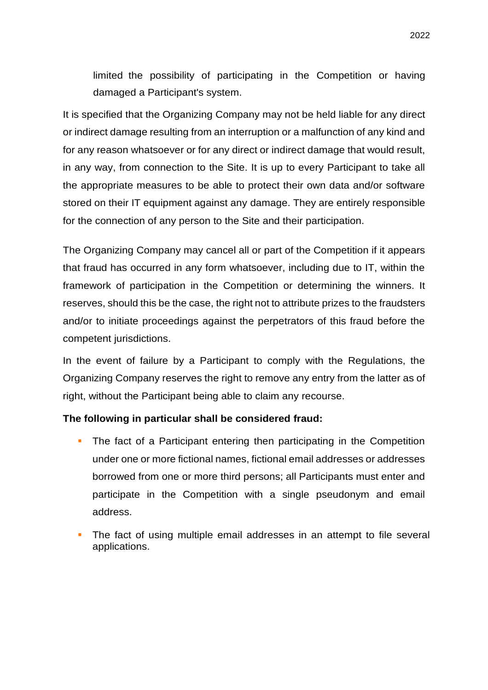limited the possibility of participating in the Competition or having damaged a Participant's system.

It is specified that the Organizing Company may not be held liable for any direct or indirect damage resulting from an interruption or a malfunction of any kind and for any reason whatsoever or for any direct or indirect damage that would result, in any way, from connection to the Site. It is up to every Participant to take all the appropriate measures to be able to protect their own data and/or software stored on their IT equipment against any damage. They are entirely responsible for the connection of any person to the Site and their participation.

The Organizing Company may cancel all or part of the Competition if it appears that fraud has occurred in any form whatsoever, including due to IT, within the framework of participation in the Competition or determining the winners. It reserves, should this be the case, the right not to attribute prizes to the fraudsters and/or to initiate proceedings against the perpetrators of this fraud before the competent jurisdictions.

In the event of failure by a Participant to comply with the Regulations, the Organizing Company reserves the right to remove any entry from the latter as of right, without the Participant being able to claim any recourse.

#### **The following in particular shall be considered fraud:**

- The fact of a Participant entering then participating in the Competition under one or more fictional names, fictional email addresses or addresses borrowed from one or more third persons; all Participants must enter and participate in the Competition with a single pseudonym and email address.
- The fact of using multiple email addresses in an attempt to file several applications.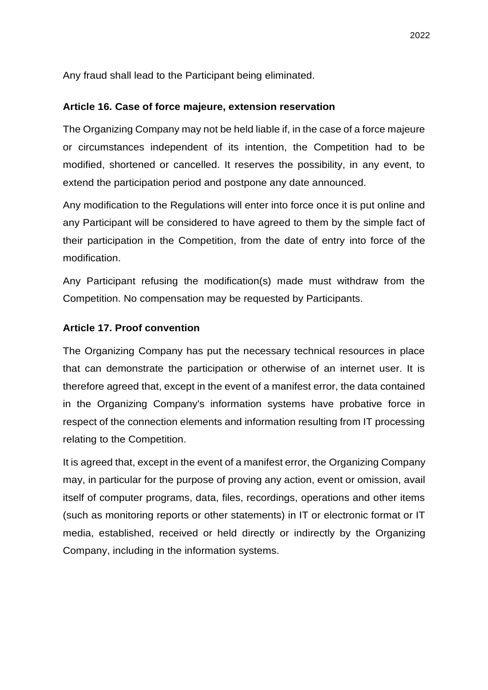Any fraud shall lead to the Participant being eliminated.

#### **Article 16. Case of force majeure, extension reservation**

The Organizing Company may not be held liable if, in the case of a force majeure or circumstances independent of its intention, the Competition had to be modified, shortened or cancelled. It reserves the possibility, in any event, to extend the participation period and postpone any date announced.

Any modification to the Regulations will enter into force once it is put online and any Participant will be considered to have agreed to them by the simple fact of their participation in the Competition, from the date of entry into force of the modification.

Any Participant refusing the modification(s) made must withdraw from the Competition. No compensation may be requested by Participants.

#### **Article 17. Proof convention**

The Organizing Company has put the necessary technical resources in place that can demonstrate the participation or otherwise of an internet user. It is therefore agreed that, except in the event of a manifest error, the data contained in the Organizing Company's information systems have probative force in respect of the connection elements and information resulting from IT processing relating to the Competition.

It is agreed that, except in the event of a manifest error, the Organizing Company may, in particular for the purpose of proving any action, event or omission, avail itself of computer programs, data, files, recordings, operations and other items (such as monitoring reports or other statements) in IT or electronic format or IT media, established, received or held directly or indirectly by the Organizing Company, including in the information systems.